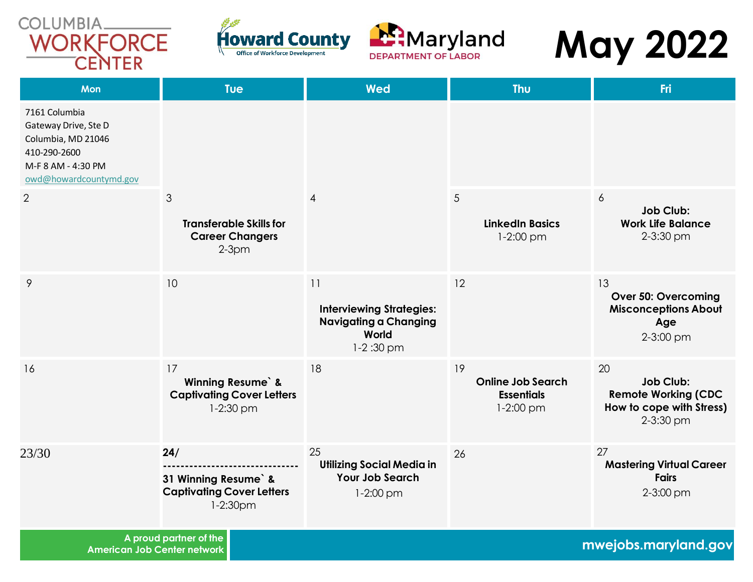





# **May 2022**

| <b>Mon</b>                                                                                                                  | <b>Tue</b>                                                                       | <b>Wed</b>                                                                                    | <b>Thu</b>                                                         | Fri                                                                                           |
|-----------------------------------------------------------------------------------------------------------------------------|----------------------------------------------------------------------------------|-----------------------------------------------------------------------------------------------|--------------------------------------------------------------------|-----------------------------------------------------------------------------------------------|
| 7161 Columbia<br>Gateway Drive, Ste D<br>Columbia, MD 21046<br>410-290-2600<br>M-F 8 AM - 4:30 PM<br>owd@howardcountymd.gov |                                                                                  |                                                                                               |                                                                    |                                                                                               |
| 2                                                                                                                           | 3<br><b>Transferable Skills for</b><br><b>Career Changers</b><br>$2-3pm$         | $\overline{4}$                                                                                | $5\phantom{.0}$<br><b>LinkedIn Basics</b><br>$1-2:00$ pm           | 6<br><b>Job Club:</b><br><b>Work Life Balance</b><br>2-3:30 pm                                |
| 9                                                                                                                           | 10                                                                               | 11<br><b>Interviewing Strategies:</b><br><b>Navigating a Changing</b><br>World<br>$1-2:30$ pm | 12                                                                 | 13<br><b>Over 50: Overcoming</b><br><b>Misconceptions About</b><br>Age<br>2-3:00 pm           |
| 16                                                                                                                          | 17<br><b>Winning Resume</b> &<br><b>Captivating Cover Letters</b><br>$1-2:30$ pm | 18                                                                                            | 19<br><b>Online Job Search</b><br><b>Essentials</b><br>$1-2:00$ pm | 20<br><b>Job Club:</b><br><b>Remote Working (CDC</b><br>How to cope with Stress)<br>2-3:30 pm |
| 23/30                                                                                                                       | 24/<br>31 Winning Resume &<br><b>Captivating Cover Letters</b><br>1-2:30pm       | 25<br><b>Utilizing Social Media in</b><br><b>Your Job Search</b><br>$1-2:00$ pm               | 26                                                                 | 27<br><b>Mastering Virtual Career</b><br><b>Fairs</b><br>2-3:00 pm                            |

**A proud partner of the** 

**American Job Center network mwejobs.maryland.gov**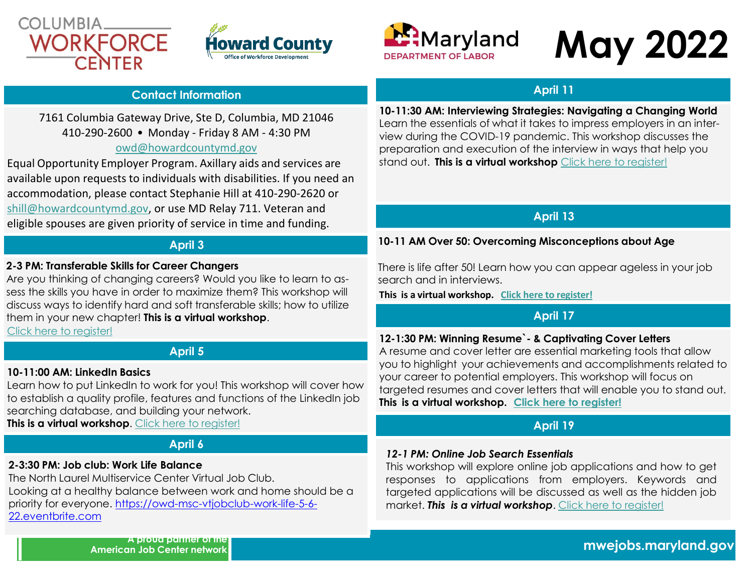





# **May 2022**

#### **Contact Information**

#### 7161 Columbia Gateway Drive, Ste D, Columbia, MD 21046 410-290-2600 • Monday - Friday 8 AM - 4:30 PM [owd@howardcountymd.gov](mailto:owd@howardcountymd.gov)

## Equal Opportunity Employer Program. Axillary aids and services are available upon requests to individuals with disabilities. If you need an accommodation, please contact Stephanie Hill at 410-290-2620 or [shill@howardcountymd.gov, o](mailto:shill@howardcountymd.gov)r use MD Relay 711. Veteran and eligible spouses are given priority of service in time and funding.

#### **April 3**

#### **2-3 PM: Transferable Skills for Career Changers**

Are you thinking of changing careers? Would you like to learn to assess the skills you have in order to maximize them? This workshop will discuss ways to identify hard and soft transferable skills; how to utilize them in your new chapter! **This is a virtual workshop**.

Click here to [register!](https://mwejobs.maryland.gov/vosnet/Guest.aspx?enc=DZxC+qsvFcHaG7xzEbeU/0oxgUzMVrzP9NZPDBzPGeb6aRHZQLo/2pSYOs9mU7SFLOUNyQNaL+6htgkcoGj3T7oqfQg8LuuY9BzAu9FzN4338MvTfq2jljeQGS3yllth)

### **April 5**

#### **10-11:00 AM: LinkedIn Basics**

Learn how to put LinkedIn to work for you! This workshop will cover how to establish a quality profile, features and functions of the LinkedIn job searching database, and building your network. **This is a virtual workshop**. Click here to [register!](https://mwejobs.maryland.gov/vosnet/Guest.aspx?enc=DZxC+qsvFcHaG7xzEbeU/0oxgUzMVrzP9NZPDBzPGeb6aRHZQLo/2pSYOs9mU7SFtsl3y+/0+pZXVVWhPj3eFS5FGuMLRMe3L0XPHJdqWDlq3EPcgSYCLdH6+lgFoBIj)

# **April 6**

### **2-3:30 PM: Job club: Work Life Balance**

The North Laurel Multiservice Center Virtual Job Club. Looking at a healthy balance between work and home should be a priority for everyone. [https://owd-msc-vtjobclub-work-life-5-6-](https://owd-msc-vtjobclub-work-life-5-6-22.eventbrite.com/) [22.eventbrite.com](https://owd-msc-vtjobclub-work-life-5-6-22.eventbrite.com/)

## **April 11**

**10-11:30 AM: Interviewing Strategies: Navigating a Changing World**  Learn the essentials of what it takes to impress employers in an interview during the COVID-19 pandemic. This workshop discusses the preparation and execution of the interview in ways that help you stand out. **This is a virtual workshop** [Click here to register!](https://mwejobs.maryland.gov/vosnet/Guest.aspx?enc=DZxC+qsvFcHaG7xzEbeU/0oxgUzMVrzP9NZPDBzPGeb6aRHZQLo/2pSYOs9mU7SF3ac17ECXNabRRraVy2kmWNQhkcfEs6lbgfa5WAfNVI5sWbX2URRbpHYq1ymw/Ogx)

# **April 13**

#### **10-11 AM Over 50: Overcoming Misconceptions about Age**

There is life after 50! Learn how you can appear ageless in your job search and in interviews.

**This is a virtual workshop. Click here to [register!](https://mwejobs.maryland.gov/vosnet/Guest.aspx?enc=DZxC+qsvFcHaG7xzEbeU/0oxgUzMVrzP9NZPDBzPGeb6aRHZQLo/2pSYOs9mU7SFswSzvu2n9yPWXyJl+tr1CUHVVunIL96Ku8A/td3315qOTREQQwGiD9q0TPtla7K8)**

### **April 17**

#### **12-1:30 PM: Winning Resume`- & Captivating Cover Letters**

A resume and cover letter are essential marketing tools that allow you to highlight your achievements and accomplishments related to your career to potential employers. This workshop will focus on targeted resumes and cover letters that will enable you to stand out. **This is a virtual workshop. [Click here to register!](https://mwejobs.maryland.gov/vosnet/Guest.aspx?enc=DZxC+qsvFcHaG7xzEbeU/0oxgUzMVrzP9NZPDBzPGeb6aRHZQLo/2pSYOs9mU7SFSwVeYs+Rkl4D5y8/gWahx9yLnWhFA1Y8SQC2XGkH65kKdILOz5hYW+jCiDuLffaM)**

#### **April 19**

#### *12-1 PM: Online Job Search Essentials*

This workshop will explore online job applications and how to get responses to applications from employers. Keywords and targeted applications will be discussed as well as the hidden job market. *This is a virtual workshop*. Click here to [register!](https://mwejobs.maryland.gov/vosnet/Guest.aspx?enc=DZxC+qsvFcHaG7xzEbeU/0oxgUzMVrzP9NZPDBzPGeb6aRHZQLo/2pSYOs9mU7SFhS3C/zKMvFC+87ErazBh4pu6KAXDyo69NyVg9OhqWergq6zwEP5nlCVPh+u2r8Jz)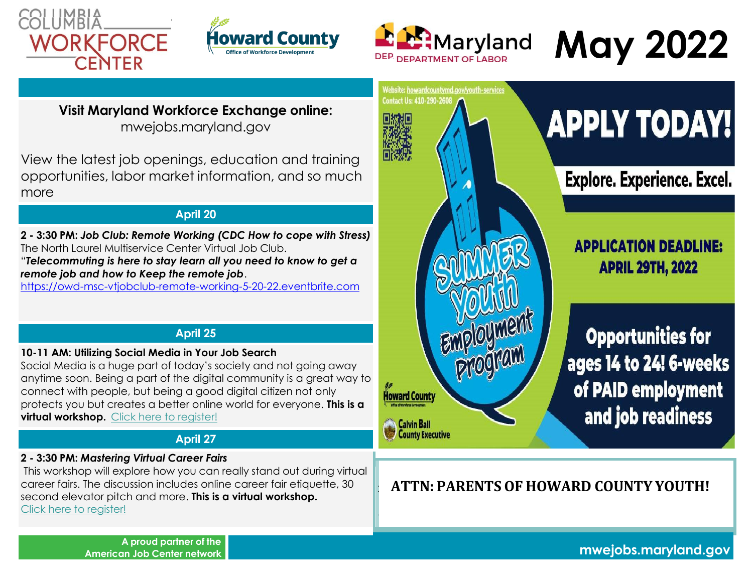





# **May 2022**

**Visit Maryland Workforce Exchange online:** mwejobs.maryland.gov

View the latest job openings, education and training opportunities, labor market information, and so much more

# **April 20**

**2 - 3:30 PM:** *Job Club: Remote Working (CDC How to cope with Stress)* The North Laurel Multiservice Center Virtual Job Club.

"*Telecommuting is here to stay learn all you need to know to get a remote job and how to Keep the remote job*.

[https://owd-msc-vtjobclub-remote-working-5-20-22.eventbrite.com](https://owd-msc-vtjobclub-remote-working-5-20-22.eventbrite.com/)

# **April 25**

#### **10-11 AM: Utilizing Social Media in Your Job Search**

Social Media is a huge part of today's society and not going away anytime soon. Being a part of the digital community is a great way to connect with people, but being a good digital citizen not only protects you but creates a better online world for everyone. **This is a virtual workshop.** [Click here to register!](https://mwejobs.maryland.gov/vosnet/Guest.aspx?enc=DZxC+qsvFcHaG7xzEbeU/0oxgUzMVrzP9NZPDBzPGeb6aRHZQLo/2pSYOs9mU7SFodx41+HLNstWukNwKnWsIgXMU4cujkz27mzJ2dDu82DSYvLOGCP+jEnO5exRHmw1)

# **April 27**

### **2 - 3:30 PM:** *Mastering Virtual Career Fairs*

This workshop will explore how you can really stand out during virtual career fairs. The discussion includes online career fair etiquette, 30 second elevator pitch and more. **This is a virtual workshop.** Click here to [register!](https://mwejobs.maryland.gov/vosnet/Guest.aspx?enc=DZxC+qsvFcHaG7xzEbeU/0oxgUzMVrzP9NZPDBzPGeb6aRHZQLo/2pSYOs9mU7SFjACN7ROmJg0kMw7C0rTR529z9EdiDeldWdv38oO1gym73SWJRmXjUwp3sENXQL48)



**2**

**-**

# **APPLY TODAY!**

**Explore. Experience. Excel.** 

**APPLICATION DEADLINE: APRIL 29TH, 2022** 

**Opportunities for** ages 14 to 24! 6-weeks of PAID employment and job readiness

# **ATTN: PARENTS OF HOWARD COUNTY YOUTH!**